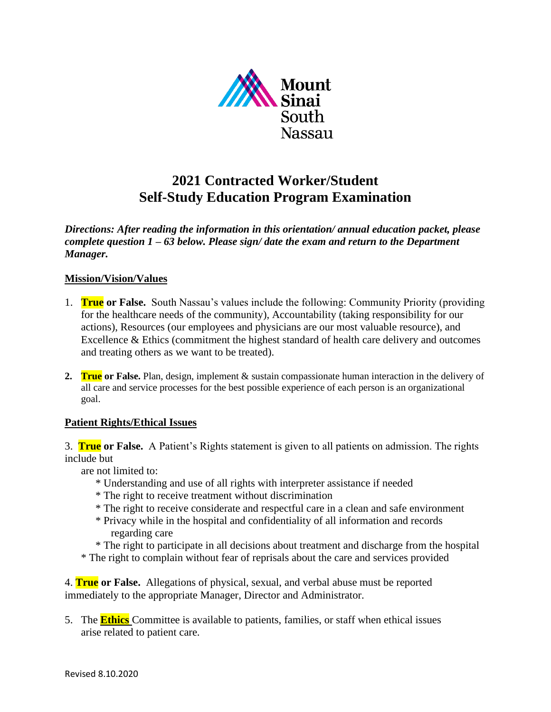

# **2021 Contracted Worker/Student Self-Study Education Program Examination**

*Directions: After reading the information in this orientation/ annual education packet, please complete question 1 – 63 below. Please sign/ date the exam and return to the Department Manager.* 

# **Mission/Vision/Values**

- 1. **True or False.** South Nassau's values include the following: Community Priority (providing for the healthcare needs of the community), Accountability (taking responsibility for our actions), Resources (our employees and physicians are our most valuable resource), and Excellence & Ethics (commitment the highest standard of health care delivery and outcomes and treating others as we want to be treated).
- **2. True or False.** Plan, design, implement & sustain compassionate human interaction in the delivery of all care and service processes for the best possible experience of each person is an organizational goal.

# **Patient Rights/Ethical Issues**

3. **True or False.** A Patient's Rights statement is given to all patients on admission. The rights include but

are not limited to:

- \* Understanding and use of all rights with interpreter assistance if needed
- \* The right to receive treatment without discrimination
- \* The right to receive considerate and respectful care in a clean and safe environment
- \* Privacy while in the hospital and confidentiality of all information and records regarding care
- \* The right to participate in all decisions about treatment and discharge from the hospital
- \* The right to complain without fear of reprisals about the care and services provided

4. **True or False.** Allegations of physical, sexual, and verbal abuse must be reported immediately to the appropriate Manager, Director and Administrator.

5. The **Ethics** Committee is available to patients, families, or staff when ethical issues arise related to patient care.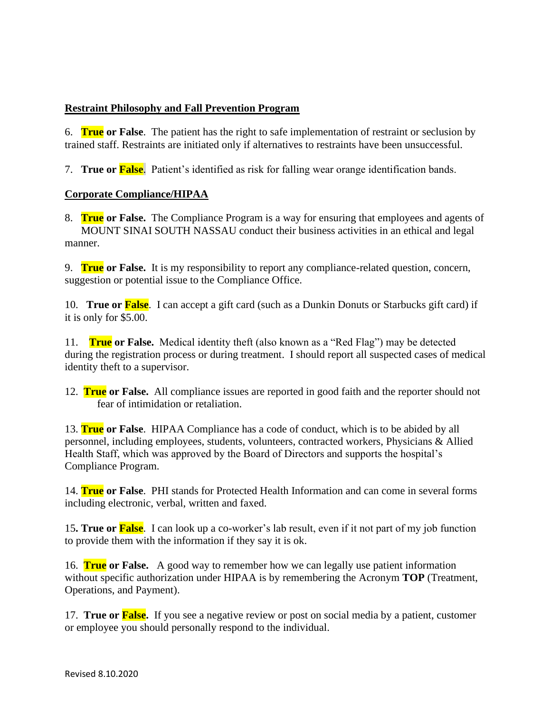# **Restraint Philosophy and Fall Prevention Program**

6. **True or False**. The patient has the right to safe implementation of restraint or seclusion by trained staff. Restraints are initiated only if alternatives to restraints have been unsuccessful.

7. **True or False**. Patient's identified as risk for falling wear orange identification bands.

## **Corporate Compliance/HIPAA**

8. **True or False.** The Compliance Program is a way for ensuring that employees and agents of MOUNT SINAI SOUTH NASSAU conduct their business activities in an ethical and legal manner.

9. **True or False.** It is my responsibility to report any compliance-related question, concern, suggestion or potential issue to the Compliance Office.

10. **True or False**.I can accept a gift card (such as a Dunkin Donuts or Starbucks gift card) if it is only for \$5.00.

11. **True or False.** Medical identity theft (also known as a "Red Flag") may be detected during the registration process or during treatment. I should report all suspected cases of medical identity theft to a supervisor.

12. **True or False.** All compliance issues are reported in good faith and the reporter should not fear of intimidation or retaliation.

13. **True or False**. HIPAA Compliance has a code of conduct, which is to be abided by all personnel, including employees, students, volunteers, contracted workers, Physicians & Allied Health Staff, which was approved by the Board of Directors and supports the hospital's Compliance Program.

14. **True or False**. PHI stands for Protected Health Information and can come in several forms including electronic, verbal, written and faxed.

15**. True or False**. I can look up a co-worker's lab result, even if it not part of my job function to provide them with the information if they say it is ok.

16. **True or False.** A good way to remember how we can legally use patient information without specific authorization under HIPAA is by remembering the Acronym **TOP** (Treatment, Operations, and Payment).

17. **True or False.** If you see a negative review or post on social media by a patient, customer or employee you should personally respond to the individual.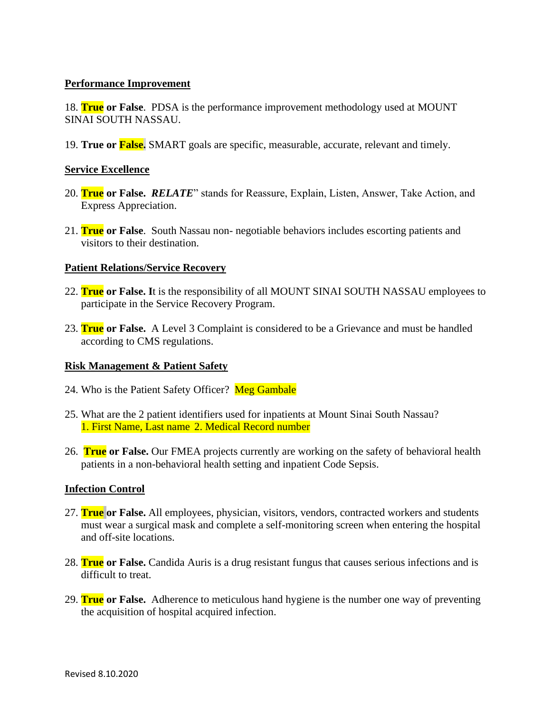## **Performance Improvement**

18. **True or False**. PDSA is the performance improvement methodology used at MOUNT SINAI SOUTH NASSAU.

19. **True or False.** SMART goals are specific, measurable, accurate, relevant and timely.

#### **Service Excellence**

- 20. **True or False.** *RELATE*" stands for Reassure, Explain, Listen, Answer, Take Action, and Express Appreciation.
- 21. **True or False**. South Nassau non- negotiable behaviors includes escorting patients and visitors to their destination.

#### **Patient Relations/Service Recovery**

- 22. **True or False. I**t is the responsibility of all MOUNT SINAI SOUTH NASSAU employees to participate in the Service Recovery Program.
- 23. **True or False.** A Level 3 Complaint is considered to be a Grievance and must be handled according to CMS regulations.

#### **Risk Management & Patient Safety**

- 24. Who is the Patient Safety Officer? Meg Gambale
- 25. What are the 2 patient identifiers used for inpatients at Mount Sinai South Nassau? 1. First Name, Last name 2. Medical Record number
- 26. **True or False.** Our FMEA projects currently are working on the safety of behavioral health patients in a non-behavioral health setting and inpatient Code Sepsis.

## **Infection Control**

- 27. **True or False.** All employees, physician, visitors, vendors, contracted workers and students must wear a surgical mask and complete a self-monitoring screen when entering the hospital and off-site locations.
- 28. **True or False.** Candida Auris is a drug resistant fungus that causes serious infections and is difficult to treat.
- 29. **True or False.** Adherence to meticulous hand hygiene is the number one way of preventing the acquisition of hospital acquired infection.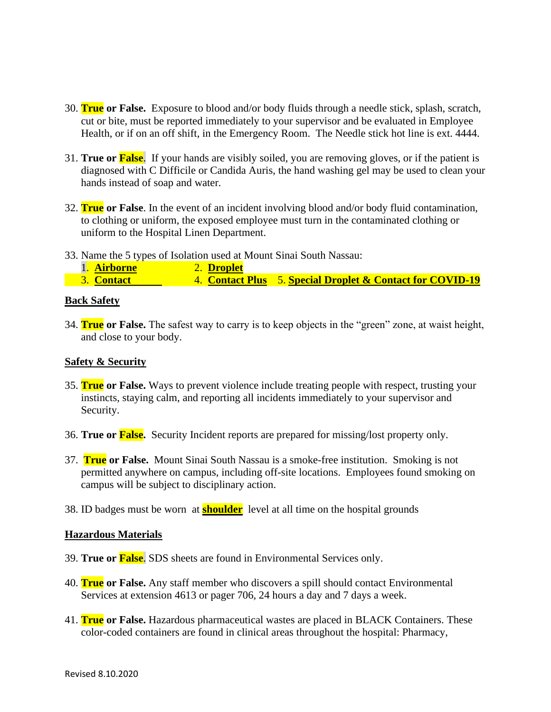- 30. **True or False.** Exposure to blood and/or body fluids through a needle stick, splash, scratch, cut or bite, must be reported immediately to your supervisor and be evaluated in Employee Health, or if on an off shift, in the Emergency Room. The Needle stick hot line is ext. 4444.
- 31. **True or False**. If your hands are visibly soiled, you are removing gloves, or if the patient is diagnosed with C Difficile or Candida Auris, the hand washing gel may be used to clean your hands instead of soap and water.
- 32. **True or False**. In the event of an incident involving blood and/or body fluid contamination, to clothing or uniform, the exposed employee must turn in the contaminated clothing or uniform to the Hospital Linen Department.
- 33. Name the 5 types of Isolation used at Mount Sinai South Nassau:
- 1. **Airborne** 2. **Droplet** 3. **Contact** 4. **Contact Plus** 5. **Special Droplet & Contact for COVID-19**

#### **Back Safety**

34. **True or False.** The safest way to carry is to keep objects in the "green" zone, at waist height, and close to your body.

### **Safety & Security**

- 35. **True or False.** Ways to prevent violence include treating people with respect, trusting your instincts, staying calm, and reporting all incidents immediately to your supervisor and Security.
- 36. **True or False.** Security Incident reports are prepared for missing/lost property only.
- 37. **True or False.** Mount Sinai South Nassau is a smoke-free institution. Smoking is not permitted anywhere on campus, including off-site locations. Employees found smoking on campus will be subject to disciplinary action.
- 38. ID badges must be worn at **shoulder** level at all time on the hospital grounds

#### **Hazardous Materials**

- 39. **True or False**. SDS sheets are found in Environmental Services only.
- 40. **True or False.** Any staff member who discovers a spill should contact Environmental Services at extension 4613 or pager 706, 24 hours a day and 7 days a week.
- 41. **True or False.** Hazardous pharmaceutical wastes are placed in BLACK Containers. These color-coded containers are found in clinical areas throughout the hospital: Pharmacy,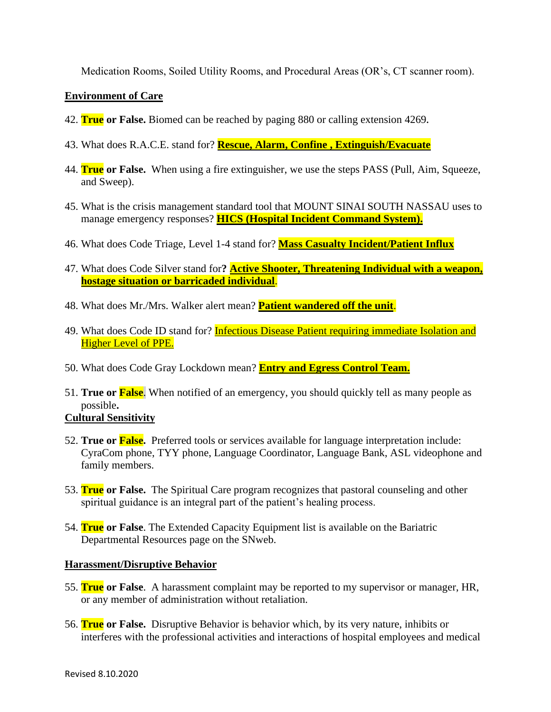Medication Rooms, Soiled Utility Rooms, and Procedural Areas (OR's, CT scanner room).

# **Environment of Care**

- 42. **True or False.** Biomed can be reached by paging 880 or calling extension 4269**.**
- 43. What does R.A.C.E. stand for? **Rescue, Alarm, Confine , Extinguish/Evacuate**
- 44. **True or False.** When using a fire extinguisher, we use the steps PASS (Pull, Aim, Squeeze, and Sweep).
- 45. What is the crisis management standard tool that MOUNT SINAI SOUTH NASSAU uses to manage emergency responses? **HICS (Hospital Incident Command System).**
- 46. What does Code Triage, Level 1-4 stand for? **Mass Casualty Incident/Patient Influx**
- 47. What does Code Silver stand for**? Active Shooter, Threatening Individual with a weapon, hostage situation or barricaded individual**.
- 48. What does Mr./Mrs. Walker alert mean? **Patient wandered off the unit**.
- 49. What does Code ID stand for? **Infectious Disease Patient requiring immediate Isolation and** Higher Level of PPE.
- 50. What does Code Gray Lockdown mean? **Entry and Egress Control Team.**
- 51. **True or False**. When notified of an emergency, you should quickly tell as many people as possible**.**

# **Cultural Sensitivity**

- 52. **True or False.** Preferred tools or services available for language interpretation include: CyraCom phone, TYY phone, Language Coordinator, Language Bank, ASL videophone and family members.
- 53. **True or False.** The Spiritual Care program recognizes that pastoral counseling and other spiritual guidance is an integral part of the patient's healing process.
- 54. **True or False**. The Extended Capacity Equipment list is available on the Bariatric Departmental Resources page on the SNweb.

## **Harassment/Disruptive Behavior**

- 55. **True or False**.A harassment complaint may be reported to my supervisor or manager, HR, or any member of administration without retaliation.
- 56. **True or False.** Disruptive Behavior is behavior which, by its very nature, inhibits or interferes with the professional activities and interactions of hospital employees and medical